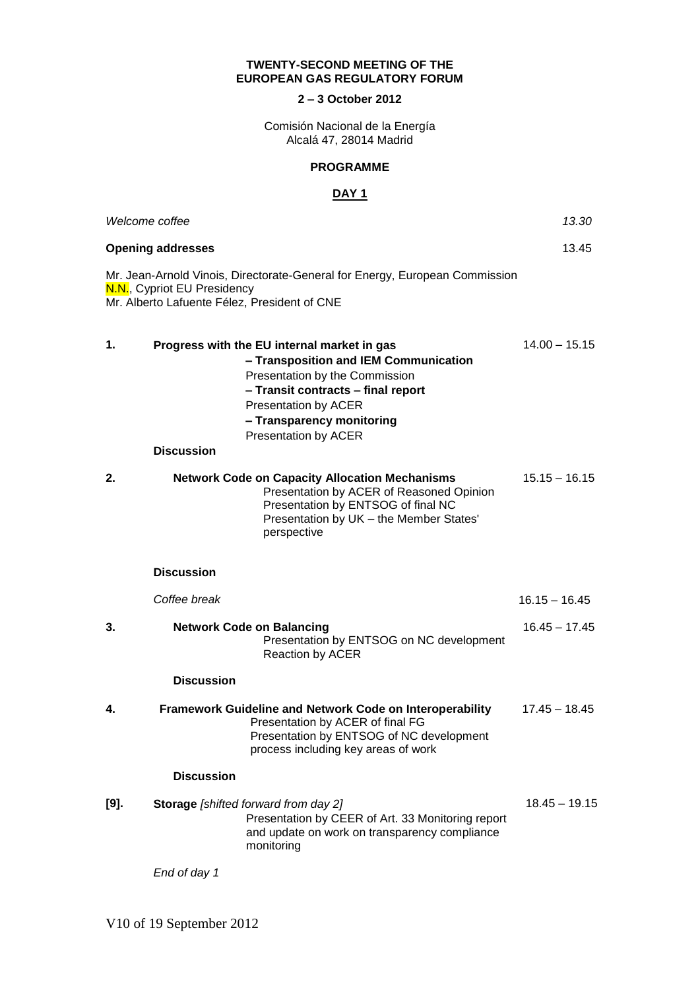## **TWENTY-SECOND MEETING OF THE EUROPEAN GAS REGULATORY FORUM**

## **2 – 3 October 2012**

Comisión Nacional de la Energía Alcalá 47, 28014 Madrid

## **PROGRAMME**

## **DAY 1**

|      | Welcome coffee                                                                                                                                                                                                                                          | 13.30           |
|------|---------------------------------------------------------------------------------------------------------------------------------------------------------------------------------------------------------------------------------------------------------|-----------------|
|      | <b>Opening addresses</b>                                                                                                                                                                                                                                | 13.45           |
|      | Mr. Jean-Arnold Vinois, Directorate-General for Energy, European Commission<br>N.N., Cypriot EU Presidency<br>Mr. Alberto Lafuente Félez, President of CNE                                                                                              |                 |
| 1.   | Progress with the EU internal market in gas<br>- Transposition and IEM Communication<br>Presentation by the Commission<br>- Transit contracts - final report<br><b>Presentation by ACER</b><br>- Transparency monitoring<br><b>Presentation by ACER</b> | $14.00 - 15.15$ |
|      | <b>Discussion</b>                                                                                                                                                                                                                                       |                 |
| 2.   | <b>Network Code on Capacity Allocation Mechanisms</b><br>Presentation by ACER of Reasoned Opinion<br>Presentation by ENTSOG of final NC<br>Presentation by UK - the Member States'<br>perspective                                                       | $15.15 - 16.15$ |
|      | <b>Discussion</b>                                                                                                                                                                                                                                       |                 |
|      | Coffee break                                                                                                                                                                                                                                            | $16.15 - 16.45$ |
| 3.   | <b>Network Code on Balancing</b><br>Presentation by ENTSOG on NC development<br><b>Reaction by ACER</b>                                                                                                                                                 | $16.45 - 17.45$ |
|      | <b>Discussion</b>                                                                                                                                                                                                                                       |                 |
| 4.   | Framework Guideline and Network Code on Interoperability<br>Presentation by ACER of final FG<br>Presentation by ENTSOG of NC development<br>process including key areas of work                                                                         | $17.45 - 18.45$ |
|      | <b>Discussion</b>                                                                                                                                                                                                                                       |                 |
| [9]. | Storage [shifted forward from day 2]<br>Presentation by CEER of Art. 33 Monitoring report<br>and update on work on transparency compliance<br>monitoring                                                                                                | $18.45 - 19.15$ |
|      | End of day 1                                                                                                                                                                                                                                            |                 |